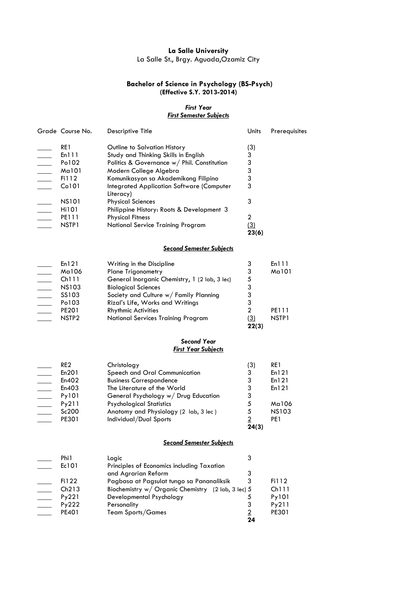## **La Salle University** La Salle St., Brgy. Aguada,Ozamiz City

# **Bachelor of Science in Psychology (BS-Psych)**

#### **(Effective S.Y. 2013-2014)**

#### *First Year First Semester Subjects*

| Grade Course No.  | <b>Descriptive Title</b>                                      | Units               | Prerequisites |
|-------------------|---------------------------------------------------------------|---------------------|---------------|
| RE1               | Outline to Salvation History                                  | (3)                 |               |
| En111             | Study and Thinking Skills in English                          | 3                   |               |
| Po102             | Politics & Governance w/ Phil. Constitution                   | 3                   |               |
| Ma101             | Modern College Algebra                                        | 3                   |               |
| Fi112             | Komunikasyon sa Akademikong Filipino                          | 3                   |               |
| Co101             | <b>Integrated Application Software (Computer</b><br>Literacy) | 3                   |               |
| <b>NS101</b>      | <b>Physical Sciences</b>                                      | 3                   |               |
| Hi101             | Philippine History: Roots & Development 3                     |                     |               |
| PE111             | <b>Physical Fitness</b>                                       | 2                   |               |
| NSTP <sub>1</sub> | National Service Training Program                             | <u>(3)</u><br>23(6) |               |
|                   | <b>Second Semester Subjects</b>                               |                     |               |
| E. 1 O 1          | VA Astronomia estas en Internacionalista e                    | ◠                   | E. 111        |

| En 12 I           | Writing in the Discipline                     |            | En III            |
|-------------------|-----------------------------------------------|------------|-------------------|
| Ma106             | <b>Plane Trigonometry</b>                     | 3          | Ma101             |
| Ch111             | General Inorganic Chemistry, 1 (2 lab, 3 lec) | 5          |                   |
| <b>NS103</b>      | <b>Biological Sciences</b>                    | 3          |                   |
| SS103             | Society and Culture w/ Family Planning        | 3          |                   |
| Po103             | Rizal's Life, Works and Writings              |            |                   |
| <b>PE201</b>      | <b>Rhythmic Activities</b>                    |            | PE111             |
| NSTP <sub>2</sub> | <b>National Services Training Program</b>     | <u>(3)</u> | NSTP <sub>1</sub> |
|                   |                                               | 22(3)      |                   |
|                   |                                               |            |                   |

### *Second Year First Year Subjects*

| RE <sub>2</sub> | Christology                           | (3)   | RE1          |
|-----------------|---------------------------------------|-------|--------------|
| En201           | Speech and Oral Communication         | 3     | En121        |
| En402           | <b>Business Correspondence</b>        | 3     | En 121       |
| En403           | The Literature of the World           | 3     | En 121       |
| Py101           | General Psychology w/ Drug Education  | 3     |              |
| Py211           | <b>Psychological Statistics</b>       | 5     | Ma106        |
| Sc200           | Anatomy and Physiology (2 lab, 3 lec) | 5     | <b>NS103</b> |
| PE301           | Individual/Dual Sports                |       | PE1          |
|                 |                                       | 24(3) |              |

## *Second Semester Subjects*

| Phi1         | Logic                                              |    |       |
|--------------|----------------------------------------------------|----|-------|
| Ec101        | Principles of Economics including Taxation         |    |       |
|              | and Agrarian Reform                                |    |       |
| Fi122        | Pagbasa at Pagsulat tungo sa Pananaliksik          |    | Fi112 |
| Ch213        | Biochemistry w/ Organic Chemistry (2 lab, 3 lec) 5 |    | Ch111 |
| Py221        | Developmental Psychology                           |    | Py101 |
| Py222        | Personality                                        |    | Py211 |
| <b>PE401</b> | Team Sports/Games                                  |    | PE301 |
|              |                                                    | 24 |       |